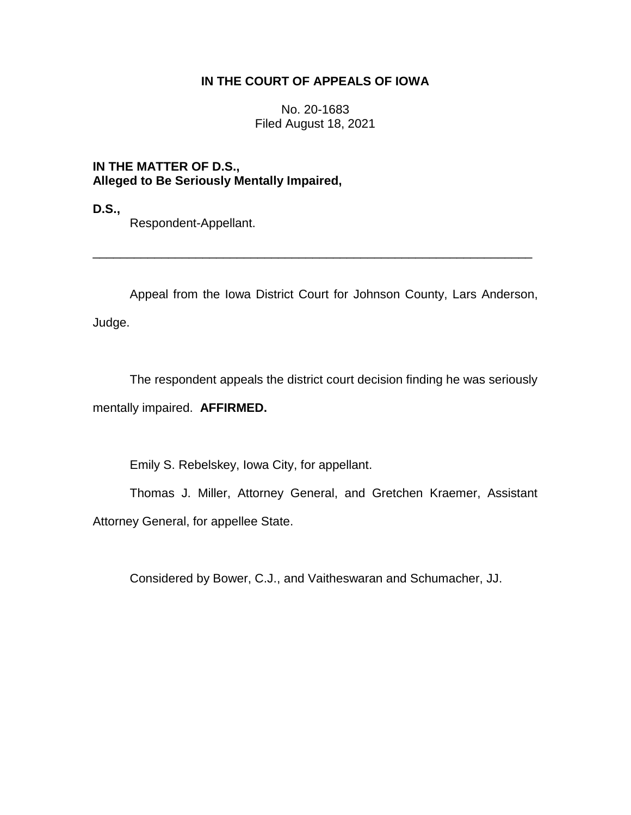# **IN THE COURT OF APPEALS OF IOWA**

No. 20-1683 Filed August 18, 2021

**IN THE MATTER OF D.S., Alleged to Be Seriously Mentally Impaired,**

**D.S.,**

Respondent-Appellant.

Appeal from the Iowa District Court for Johnson County, Lars Anderson, Judge.

\_\_\_\_\_\_\_\_\_\_\_\_\_\_\_\_\_\_\_\_\_\_\_\_\_\_\_\_\_\_\_\_\_\_\_\_\_\_\_\_\_\_\_\_\_\_\_\_\_\_\_\_\_\_\_\_\_\_\_\_\_\_\_\_

The respondent appeals the district court decision finding he was seriously mentally impaired. **AFFIRMED.**

Emily S. Rebelskey, Iowa City, for appellant.

Thomas J. Miller, Attorney General, and Gretchen Kraemer, Assistant Attorney General, for appellee State.

Considered by Bower, C.J., and Vaitheswaran and Schumacher, JJ.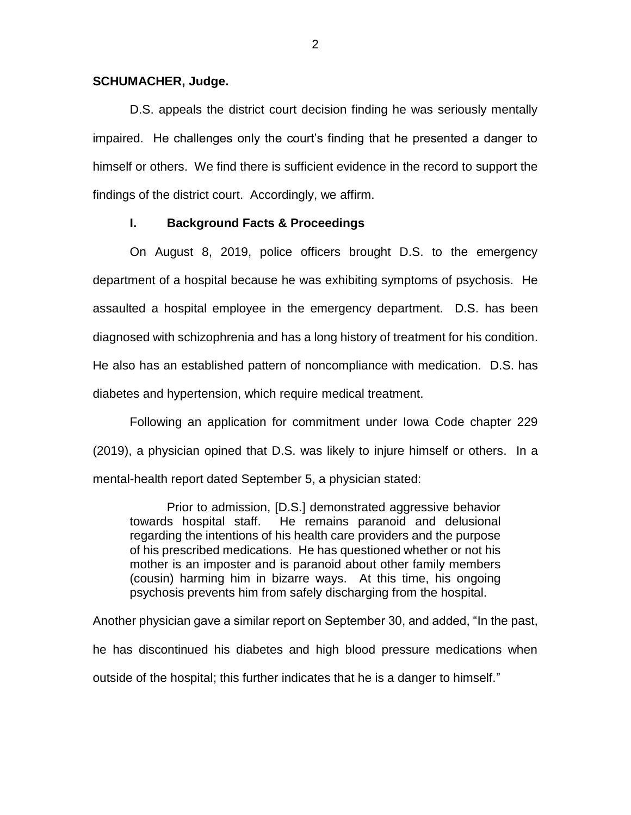### **SCHUMACHER, Judge.**

D.S. appeals the district court decision finding he was seriously mentally impaired. He challenges only the court's finding that he presented a danger to himself or others. We find there is sufficient evidence in the record to support the findings of the district court. Accordingly, we affirm.

### **I. Background Facts & Proceedings**

On August 8, 2019, police officers brought D.S. to the emergency department of a hospital because he was exhibiting symptoms of psychosis. He assaulted a hospital employee in the emergency department. D.S. has been diagnosed with schizophrenia and has a long history of treatment for his condition. He also has an established pattern of noncompliance with medication. D.S. has diabetes and hypertension, which require medical treatment.

Following an application for commitment under Iowa Code chapter 229 (2019), a physician opined that D.S. was likely to injure himself or others. In a mental-health report dated September 5, a physician stated:

Prior to admission, [D.S.] demonstrated aggressive behavior towards hospital staff. He remains paranoid and delusional regarding the intentions of his health care providers and the purpose of his prescribed medications. He has questioned whether or not his mother is an imposter and is paranoid about other family members (cousin) harming him in bizarre ways. At this time, his ongoing psychosis prevents him from safely discharging from the hospital.

Another physician gave a similar report on September 30, and added, "In the past, he has discontinued his diabetes and high blood pressure medications when outside of the hospital; this further indicates that he is a danger to himself."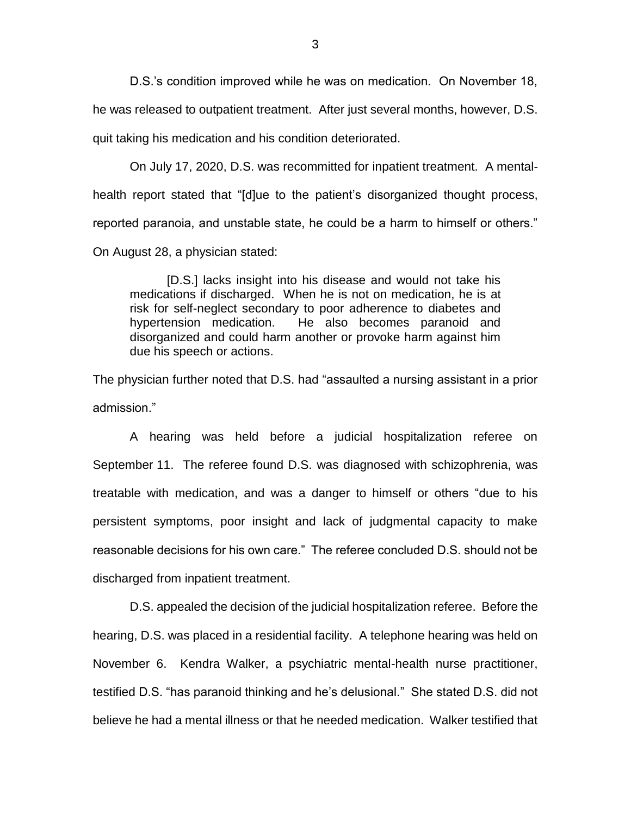D.S.'s condition improved while he was on medication. On November 18, he was released to outpatient treatment. After just several months, however, D.S. quit taking his medication and his condition deteriorated.

On July 17, 2020, D.S. was recommitted for inpatient treatment. A mentalhealth report stated that "[d]ue to the patient's disorganized thought process, reported paranoia, and unstable state, he could be a harm to himself or others." On August 28, a physician stated:

[D.S.] lacks insight into his disease and would not take his medications if discharged. When he is not on medication, he is at risk for self-neglect secondary to poor adherence to diabetes and hypertension medication. He also becomes paranoid and disorganized and could harm another or provoke harm against him due his speech or actions.

The physician further noted that D.S. had "assaulted a nursing assistant in a prior admission."

A hearing was held before a judicial hospitalization referee on September 11. The referee found D.S. was diagnosed with schizophrenia, was treatable with medication, and was a danger to himself or others "due to his persistent symptoms, poor insight and lack of judgmental capacity to make reasonable decisions for his own care." The referee concluded D.S. should not be discharged from inpatient treatment.

D.S. appealed the decision of the judicial hospitalization referee. Before the hearing, D.S. was placed in a residential facility. A telephone hearing was held on November 6. Kendra Walker, a psychiatric mental-health nurse practitioner, testified D.S. "has paranoid thinking and he's delusional." She stated D.S. did not believe he had a mental illness or that he needed medication. Walker testified that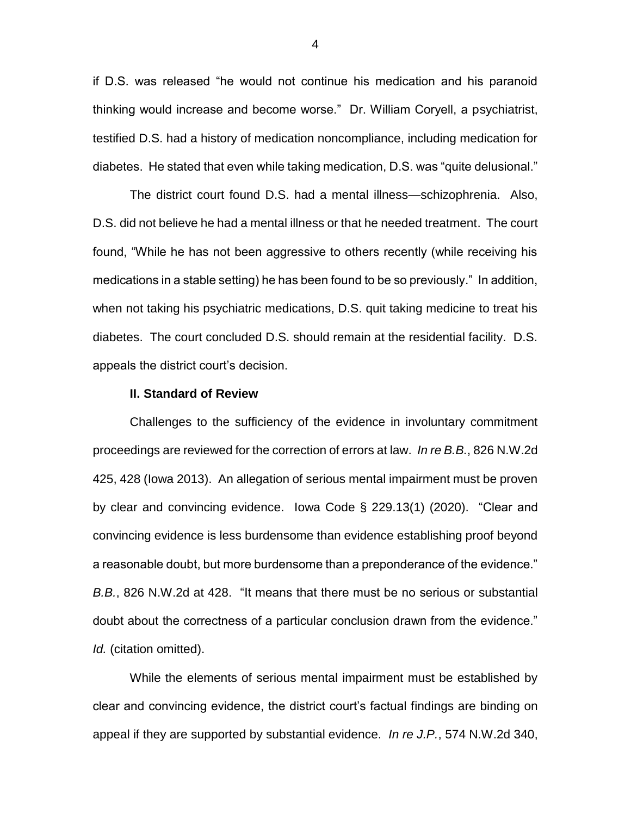if D.S. was released "he would not continue his medication and his paranoid thinking would increase and become worse." Dr. William Coryell, a psychiatrist, testified D.S. had a history of medication noncompliance, including medication for diabetes. He stated that even while taking medication, D.S. was "quite delusional."

The district court found D.S. had a mental illness—schizophrenia. Also, D.S. did not believe he had a mental illness or that he needed treatment. The court found, "While he has not been aggressive to others recently (while receiving his medications in a stable setting) he has been found to be so previously." In addition, when not taking his psychiatric medications, D.S. quit taking medicine to treat his diabetes. The court concluded D.S. should remain at the residential facility. D.S. appeals the district court's decision.

#### **II. Standard of Review**

Challenges to the sufficiency of the evidence in involuntary commitment proceedings are reviewed for the correction of errors at law. *In re B.B.*, 826 N.W.2d 425, 428 (Iowa 2013). An allegation of serious mental impairment must be proven by clear and convincing evidence. Iowa Code § 229.13(1) (2020). "Clear and convincing evidence is less burdensome than evidence establishing proof beyond a reasonable doubt, but more burdensome than a preponderance of the evidence." *B.B.*, 826 N.W.2d at 428. "It means that there must be no serious or substantial doubt about the correctness of a particular conclusion drawn from the evidence." *Id.* (citation omitted).

While the elements of serious mental impairment must be established by clear and convincing evidence, the district court's factual findings are binding on appeal if they are supported by substantial evidence. *In re J.P.*, 574 N.W.2d 340,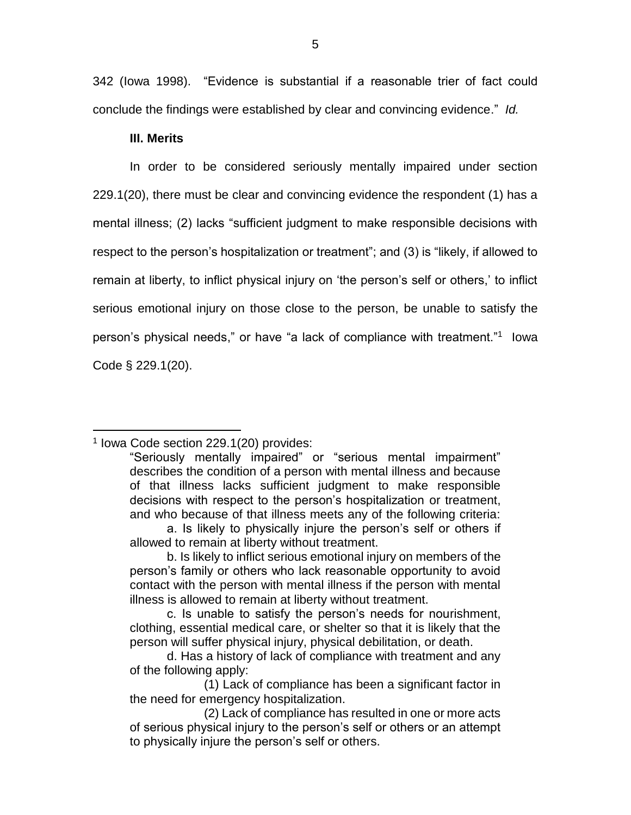342 (Iowa 1998). "Evidence is substantial if a reasonable trier of fact could conclude the findings were established by clear and convincing evidence." *Id.*

# **III. Merits**

In order to be considered seriously mentally impaired under section 229.1(20), there must be clear and convincing evidence the respondent (1) has a mental illness; (2) lacks "sufficient judgment to make responsible decisions with respect to the person's hospitalization or treatment"; and (3) is "likely, if allowed to remain at liberty, to inflict physical injury on 'the person's self or others,' to inflict serious emotional injury on those close to the person, be unable to satisfy the person's physical needs," or have "a lack of compliance with treatment."<sup>1</sup> Iowa Code § 229.1(20).

# 1 Iowa Code section 229.1(20) provides:

 $\overline{a}$ 

<sup>&</sup>quot;Seriously mentally impaired" or "serious mental impairment" describes the condition of a person with mental illness and because of that illness lacks sufficient judgment to make responsible decisions with respect to the person's hospitalization or treatment, and who because of that illness meets any of the following criteria:

a. Is likely to physically injure the person's self or others if allowed to remain at liberty without treatment.

b. Is likely to inflict serious emotional injury on members of the person's family or others who lack reasonable opportunity to avoid contact with the person with mental illness if the person with mental illness is allowed to remain at liberty without treatment.

c. Is unable to satisfy the person's needs for nourishment, clothing, essential medical care, or shelter so that it is likely that the person will suffer physical injury, physical debilitation, or death.

d. Has a history of lack of compliance with treatment and any of the following apply:

<sup>(1)</sup> Lack of compliance has been a significant factor in the need for emergency hospitalization.

<sup>(2)</sup> Lack of compliance has resulted in one or more acts of serious physical injury to the person's self or others or an attempt to physically injure the person's self or others.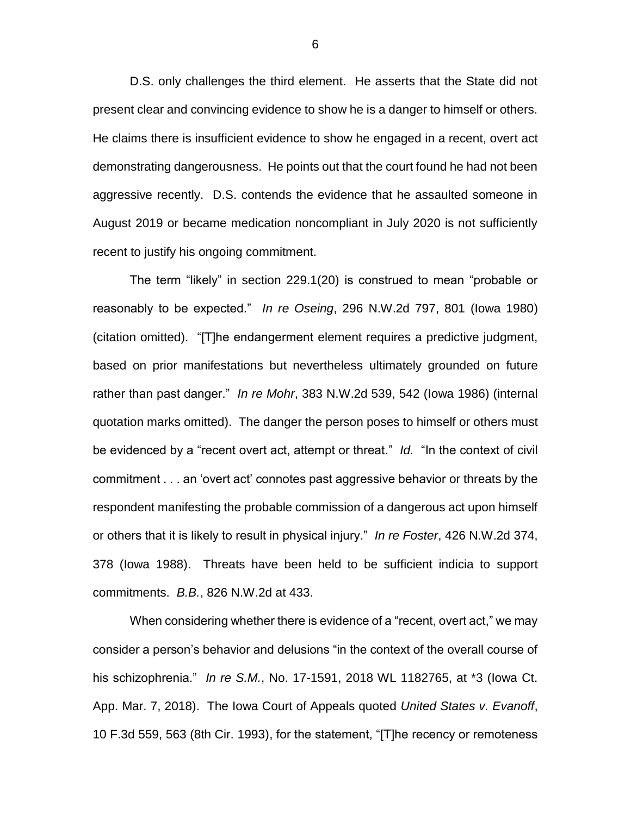D.S. only challenges the third element. He asserts that the State did not present clear and convincing evidence to show he is a danger to himself or others. He claims there is insufficient evidence to show he engaged in a recent, overt act demonstrating dangerousness. He points out that the court found he had not been aggressive recently. D.S. contends the evidence that he assaulted someone in August 2019 or became medication noncompliant in July 2020 is not sufficiently recent to justify his ongoing commitment.

The term "likely" in section 229.1(20) is construed to mean "probable or reasonably to be expected." *In re Oseing*, 296 N.W.2d 797, 801 (Iowa 1980) (citation omitted). "[T]he endangerment element requires a predictive judgment, based on prior manifestations but nevertheless ultimately grounded on future rather than past danger." *In re Mohr*, 383 N.W.2d 539, 542 (Iowa 1986) (internal quotation marks omitted). The danger the person poses to himself or others must be evidenced by a "recent overt act, attempt or threat." *Id.* "In the context of civil commitment . . . an 'overt act' connotes past aggressive behavior or threats by the respondent manifesting the probable commission of a dangerous act upon himself or others that it is likely to result in physical injury." *In re Foster*, 426 N.W.2d 374, 378 (Iowa 1988). Threats have been held to be sufficient indicia to support commitments. *B.B.*, 826 N.W.2d at 433.

When considering whether there is evidence of a "recent, overt act," we may consider a person's behavior and delusions "in the context of the overall course of his schizophrenia." *In re S.M.*, No. 17-1591, 2018 WL 1182765, at \*3 (Iowa Ct. App. Mar. 7, 2018). The Iowa Court of Appeals quoted *United States v. Evanoff*, 10 F.3d 559, 563 (8th Cir. 1993), for the statement, "[T]he recency or remoteness

6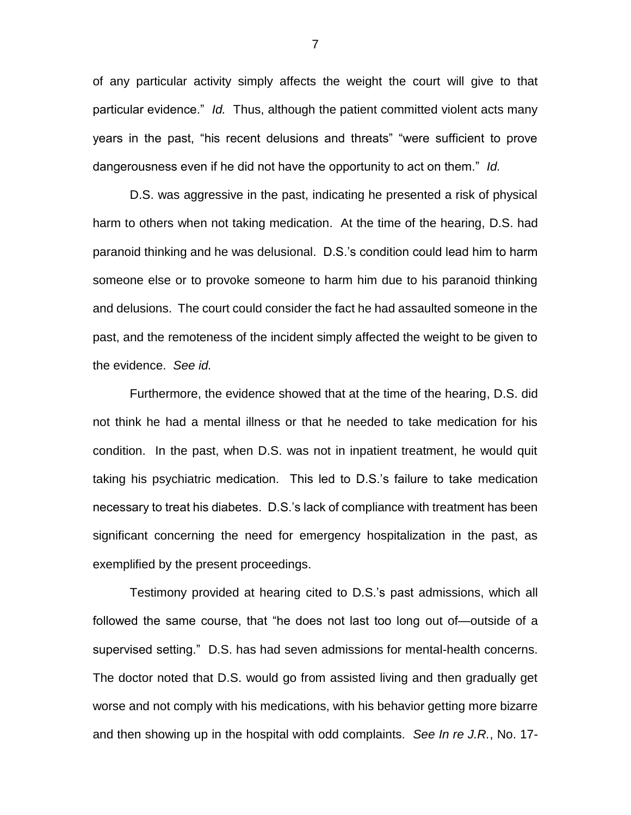of any particular activity simply affects the weight the court will give to that particular evidence." *Id.* Thus, although the patient committed violent acts many years in the past, "his recent delusions and threats" "were sufficient to prove dangerousness even if he did not have the opportunity to act on them." *Id.*

D.S. was aggressive in the past, indicating he presented a risk of physical harm to others when not taking medication. At the time of the hearing, D.S. had paranoid thinking and he was delusional. D.S.'s condition could lead him to harm someone else or to provoke someone to harm him due to his paranoid thinking and delusions. The court could consider the fact he had assaulted someone in the past, and the remoteness of the incident simply affected the weight to be given to the evidence. *See id.*

Furthermore, the evidence showed that at the time of the hearing, D.S. did not think he had a mental illness or that he needed to take medication for his condition. In the past, when D.S. was not in inpatient treatment, he would quit taking his psychiatric medication. This led to D.S.'s failure to take medication necessary to treat his diabetes. D.S.'s lack of compliance with treatment has been significant concerning the need for emergency hospitalization in the past, as exemplified by the present proceedings.

Testimony provided at hearing cited to D.S.'s past admissions, which all followed the same course, that "he does not last too long out of—outside of a supervised setting." D.S. has had seven admissions for mental-health concerns. The doctor noted that D.S. would go from assisted living and then gradually get worse and not comply with his medications, with his behavior getting more bizarre and then showing up in the hospital with odd complaints. *See In re J.R.*, No. 17-

7